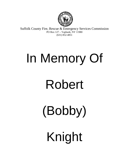

Suffolk County Fire, Rescue & Emergency Services Commission PO Box 127 – Yaphank, NY 11980 (631) 852-4851

# In Memory Of

# Robert

(Bobby)

Knight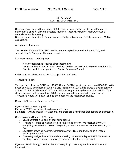# MINUTES OF MAY 28, 2014 MEETING

Chairman Egan opened the meeting at 8:00 p.m., followed by the Salute to the Flag and a moment of silence for sick and departed members: especially Bobby Knight, who would normally be at this meeting.

Dedicate page of minutes to Bobby Knight; N. Reilly motioned and E. Tully seconded. Motion was carried.

#### Acceptance of Minutes:

The minutes of the April 23, 2014 meeting were accepted by a motion from E. Tully and seconded by D. Carrigan. The motion carried.

#### Correspondence: T. Portoghese

No correspondence received since last meeting: Correspondence sent since last meeting: Letters sent to County Executive and Suffolk County Legislators supporting the Capital Programs Budget.

List of courses offered are on the last page of these minutes.

#### Treasurer's Report:

The opening balance at SCNB was \$3335.78 and FASNY opening balance was \$1000.86. With deposits of \$200 and debits of \$283 in SCNB, transferred \$3052, this leaves a closing balance of \$100.78. FASNY deposit of \$3052 and \$150 leaving an ending balance of \$4202.86. Total closing balance (both accounts) is \$4303.64. Motion made and seconded to accept the Treasurer's report. All in favor and no one opposing, the motion was carried.

Report of Officers: J. Egan / A. LaFerrera

Egan – VEEB contract signed.

Except for VEEB appointment, nothing much is new. LaFerrera – walked around Fire Academy and there are a few things that need to be addressed.

#### Commissioner's Report: J. Williams

- $\bullet$  VEEB contract is up on 12<sup>th</sup> floor being signed.
- Thanks for letters on Capital Projects; this is easier year. We received 99.9% of everything we asked for. We will be getting a new command van and new building for FA.
- Legislator Browning was very complimentary of FRES and I want to go on record thanking her for that.
- Operating Budget time is now and the meeting is the same day as FRES Commission meeting. I would be open to having a meeting either that day or prior to.

Egan – at Public Safety, I thanked them for everything. I feel they are in tune with us and listening to us.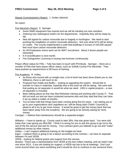Deputy Commissioner's Report: J. Jordan (absent)

No report.

# Fire Marshal's Report: E. Springer

- Some WMD equipment has expired and we will be handing out new canisters.
- Ordering new radiological meters for fire departments. Hopefully they will be ready by fall.
- New bill signed for carbon monoxide due to tragedy in Huntington. We need to start pushing the installation of carbon monoxide detectors. Not sure what NYS will be doing on codes. The County implemented a code that buildings in excess of 100,000 square feet must have carbon monoxide detectors.
- An All Employees memo went out for IMAT recruitment. About 3 dozen people are interested.
- K-9 recertification is next month.
- Fire Extinguisher Licensing is issuing new licenses continuously.

Peace officer status for FMs – Tully has been in touch with Phil Boyle. Springer – there are a number of FMs that have peace officer status, such as Suffolk County Fire Marshals. They have pushed up requirements to 99 hours of training.

# Fire Academy: R. Holley

- As those who toured with us tonight saw, a lot of work has been done (thank you to Joe Williams), there is still much to do.
- Proposal from Kidde and BullEx looking at upgrading the system. Would like to transfer to Class A materials; hopefully that is the track we will be taking. We were told that putting an oil separator in would be what we need. (JW) in capital projects – a new oil separator is included.
- Been talking about on-line Haz Mat Refresher training and working with County IT. That did not work out and we have contacted someone else and they said that they can have it set up within a matter of months.
- You've been told that things have been coming along fine for years. I am asking you to go to your organizations and Legislators as I will be doing (also Chiefs' Councils) to plead to all to try to get more money. It would be great to get the money back that has been taken away from the Academy. We are going to be actively asking for more money.

Carrigan – I believe that maintenance should be a separate budget.

Williams – I have to speak up: County used to take 35%, that was given back. You were told today that I was giving you \$53,000. I think it is wrong for you to ask this group to go out to the rest of the fire service and ask for money. Your contract gives you latitude to go out and "make" additional money by other means.

Holley – I can't support additional training on the budget we have.

Egan – I believe there is going to be a liaison according to the contract – we have to separate between FA and VEEB.

VEEB – looking for federal grants and support from fire service.

Murphy –There was a representative from VEEB at the last Vollies meeting, and we hadn't had one since 2013. If you are looking for support, a VEEB rep has to be at meetings. Don't just come around when you want something and it would be nice to continue to see someone there.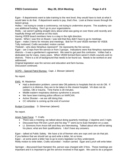Egan - If departments want to take training to the next level, they would have to look at what it would take to do that. If department wants to pay, that's fine. Look at these issues through the liaison group.

Holley – not trying to create a controversy; not trying to undermine anyone. The academy can use additional funding. Don't go to your organizations.

Reilly – we weren't getting straight story about what was going on over there until recently and hopefully things will continue on this track.

Having VEEB board members here is a step in the right direction.

Sanok - When I was first on Board, I was told that they didn't have to go to meetings.

Egan – make 2 items for minutes and meetings: Bob for FA and VEEB member for VEEB. Tully motioned; Crafts seconded; motion carried.

Thebold – who does Nimphius represent? He represents the fire service.

Egan – are 3 reps from fire service or from 3 groups. Indications were that Nimphius represents districts – it was a gentlemen's agreement. We need to get past this confusion. Vollies had a dedicated rep for many, many years. When VEEB formed there weren't chiefs councils and no districts. There is a lot of background that needs to be found out. Needs to be worked on and addressed.

Original legislation was fire service and education and farm bureau. Discussion continued.

#### SCPD – Special Patrol Bureau: Capt. J. Blosser (absent)

No report.

EMS: M. Masterton

- Had a destination problem; cannot take OB patients to hospitals that do not do OB. If patient is in distress, they are to be taken to the closest hospital. VA does not do cardiac, OB or trauma. Time frame is 30 minutes.
- Middle eastern respiratory distress syndrome is around.
- We have been training police officers on NARCAN.
- $\bullet$  Active Shooter we are still doing that.
- CC refresher is coming up the end of summer

Budget Committee: D. Silverman (absent)

No report.

#### Arson Task Force: T. Crafts

- There was a meeting; we talked about doing quarterly meetings; 2 daytime and 2 night.
- Discussed how FM Don Lynch and his dog "T" went out to East Hampton on a case.
- Lt. Simmons from Arson left and they are interviewing. Talked about who will be taking his place; what are their qualifications. I don't have any answers.

Egan – talked at Public Safety. We have a lot of firemen who are cops and can do that job. If you believe that we should set up and write a letter, let us know.

Egan – at some point a letter has to go to every legislator so they understand.

Reilly motion to write letter, Crafts seconded – motion carried. Egan and Lynch will write letter.

Springer – discussed East Hampton fire, person was charged with 3 fires. These meetings are important and it is important to get fire service involved in that again. We used to do a program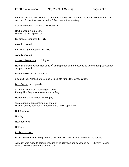here for new chiefs on what to do or not do at a fire with regard to arson and to educate the fire service. Suspect was connected to 3 fires due to that meeting.

Combined Radio Committee: N. Reilly, Jr.

Next meeting is June  $11^{th}$ . Miniutti – there is progress.

Buildings & Grounds: E. Tully

Already covered.

Legislation & Standards: E. Tully

Already covered.

Codes & Prevention: V. Bologna

Holding shotgun competition June  $7<sup>th</sup>$  and a portion of the proceeds go to the Firefighter Cancer Support Network.

EMS & REMSCO: A. LaFerrera

2 seats filled. NorthShore LIJ and Islip Chiefs Ambjulance Association.

Burn Center: N. Luparella

August 5 is the Guy Cassara golf outing. Recognition Day was a week and a half ago.

Recruitment & Retention: R. Murphy

We are rapidly approaching end of grant. Nassau County sent some paperwork and FEMA approved.

Old Business:

Nothing.

New Business:

Nothing.

Public Comment:

Egan – I will continue to fight battles. Hopefully we will make this a better fire service.

A motion was made to adjourn meeting by D. Carrigan and seconded by R. Murphy. Motion carried. Meeting adjourned at 9:09 p.m.